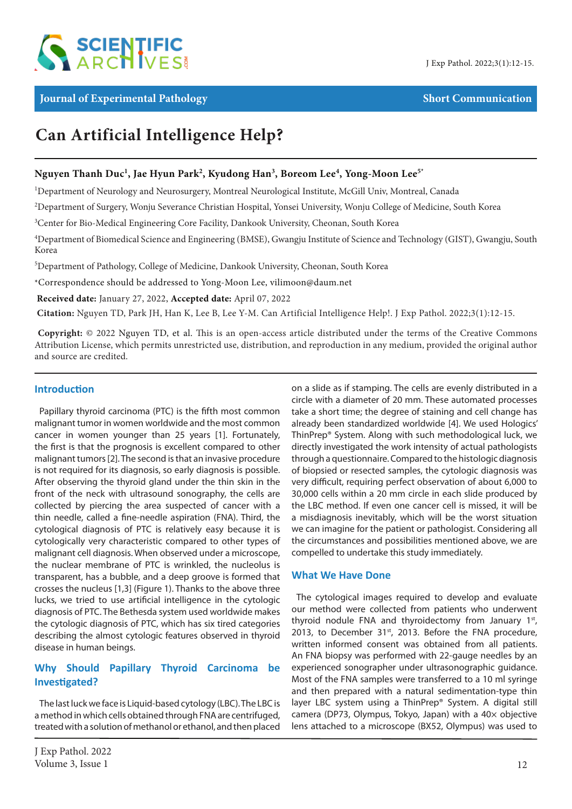

# **Can Artificial Intelligence Help?**

# $N$ guyen Thanh Duc<sup>1</sup>, Jae Hyun Park<sup>2</sup>, Kyudong Han<sup>3</sup>, Boreom Lee<sup>4</sup>, Yong-Moon Lee $^{5^\ast}$

<sup>1</sup>Department of Neurology and Neurosurgery, Montreal Neurological Institute, McGill Univ, Montreal, Canada

2 Department of Surgery, Wonju Severance Christian Hospital, Yonsei University, Wonju College of Medicine, South Korea

<sup>3</sup>Center for Bio-Medical Engineering Core Facility, Dankook University, Cheonan, South Korea

4 Department of Biomedical Science and Engineering (BMSE), Gwangju Institute of Science and Technology (GIST), Gwangju, South Korea

5 Department of Pathology, College of Medicine, Dankook University, Cheonan, South Korea

\*Correspondence should be addressed to Yong-Moon Lee, vilimoon@daum.net

 **Received date:** January 27, 2022, **Accepted date:** April 07, 2022

**Citation:** Nguyen TD, Park JH, Han K, Lee B, Lee Y-M. Can Artificial Intelligence Help!. J Exp Pathol. 2022;3(1):12-15.

 **Copyright:** © 2022 Nguyen TD, et al. This is an open-access article distributed under the terms of the Creative Commons Attribution License, which permits unrestricted use, distribution, and reproduction in any medium, provided the original author and source are credited.

## **Introduction**

Papillary thyroid carcinoma (PTC) is the fifth most common malignant tumor in women worldwide and the most common cancer in women younger than 25 years [1]. Fortunately, the first is that the prognosis is excellent compared to other malignant tumors [2]. The second is that an invasive procedure is not required for its diagnosis, so early diagnosis is possible. After observing the thyroid gland under the thin skin in the front of the neck with ultrasound sonography, the cells are collected by piercing the area suspected of cancer with a thin needle, called a fine-needle aspiration (FNA). Third, the cytological diagnosis of PTC is relatively easy because it is cytologically very characteristic compared to other types of malignant cell diagnosis. When observed under a microscope, the nuclear membrane of PTC is wrinkled, the nucleolus is transparent, has a bubble, and a deep groove is formed that crosses the nucleus [1,3] (Figure 1). Thanks to the above three lucks, we tried to use artificial intelligence in the cytologic diagnosis of PTC. The Bethesda system used worldwide makes the cytologic diagnosis of PTC, which has six tired categories describing the almost cytologic features observed in thyroid disease in human beings.

# **Why Should Papillary Thyroid Carcinoma be Investigated?**

The last luck we face is Liquid-based cytology (LBC). The LBC is a method in which cells obtained through FNA are centrifuged, treated with a solution of methanol or ethanol, and then placed

on a slide as if stamping. The cells are evenly distributed in a circle with a diameter of 20 mm. These automated processes take a short time; the degree of staining and cell change has already been standardized worldwide [4]. We used Hologics' ThinPrep® System. Along with such methodological luck, we directly investigated the work intensity of actual pathologists through a questionnaire. Compared to the histologic diagnosis of biopsied or resected samples, the cytologic diagnosis was very difficult, requiring perfect observation of about 6,000 to 30,000 cells within a 20 mm circle in each slide produced by the LBC method. If even one cancer cell is missed, it will be a misdiagnosis inevitably, which will be the worst situation we can imagine for the patient or pathologist. Considering all the circumstances and possibilities mentioned above, we are compelled to undertake this study immediately.

## **What We Have Done**

The cytological images required to develop and evaluate our method were collected from patients who underwent thyroid nodule FNA and thyroidectomy from January 1st, 2013, to December 31st, 2013. Before the FNA procedure, written informed consent was obtained from all patients. An FNA biopsy was performed with 22-gauge needles by an experienced sonographer under ultrasonographic guidance. Most of the FNA samples were transferred to a 10 ml syringe and then prepared with a natural sedimentation-type thin layer LBC system using a ThinPrep® System. A digital still camera (DP73, Olympus, Tokyo, Japan) with a 40× objective lens attached to a microscope (BX52, Olympus) was used to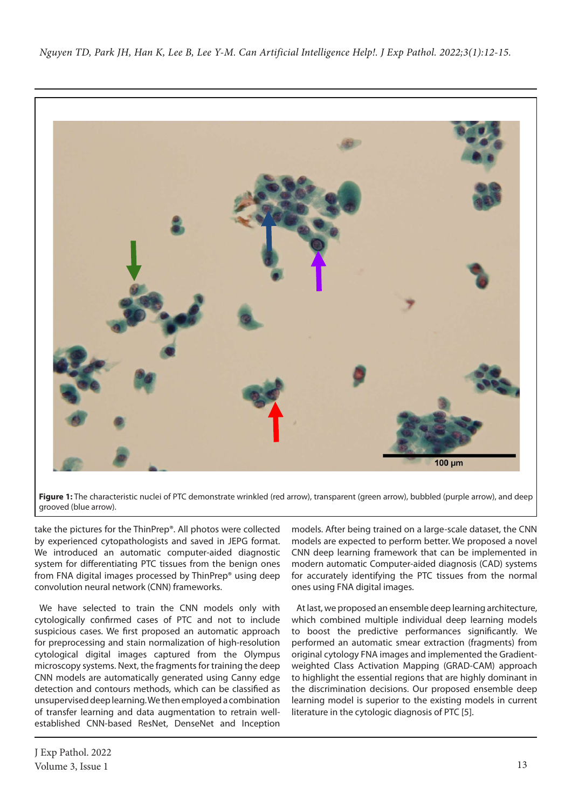*Nguyen TD, Park JH, Han K, Lee B, Lee Y-M. Can Artificial Intelligence Help!. J Exp Pathol. 2022;3(1):12-15.*



Figure 1: The characteristic nuclei of PTC demonstrate wrinkled (red arrow), transparent (green arrow), bubbled (purple arrow), and deep grooved (blue arrow).

take the pictures for the ThinPrep®. All photos were collected by experienced cytopathologists and saved in JEPG format. We introduced an automatic computer-aided diagnostic system for differentiating PTC tissues from the benign ones from FNA digital images processed by ThinPrep® using deep convolution neural network (CNN) frameworks.

We have selected to train the CNN models only with cytologically confirmed cases of PTC and not to include suspicious cases. We first proposed an automatic approach for preprocessing and stain normalization of high-resolution cytological digital images captured from the Olympus microscopy systems. Next, the fragments for training the deep CNN models are automatically generated using Canny edge detection and contours methods, which can be classified as unsupervised deep learning. We then employed a combination of transfer learning and data augmentation to retrain wellestablished CNN-based ResNet, DenseNet and Inception

models. After being trained on a large-scale dataset, the CNN models are expected to perform better. We proposed a novel CNN deep learning framework that can be implemented in modern automatic Computer-aided diagnosis (CAD) systems for accurately identifying the PTC tissues from the normal ones using FNA digital images.

At last, we proposed an ensemble deep learning architecture, which combined multiple individual deep learning models to boost the predictive performances significantly. We performed an automatic smear extraction (fragments) from original cytology FNA images and implemented the Gradientweighted Class Activation Mapping (GRAD-CAM) approach to highlight the essential regions that are highly dominant in the discrimination decisions. Our proposed ensemble deep learning model is superior to the existing models in current literature in the cytologic diagnosis of PTC [5].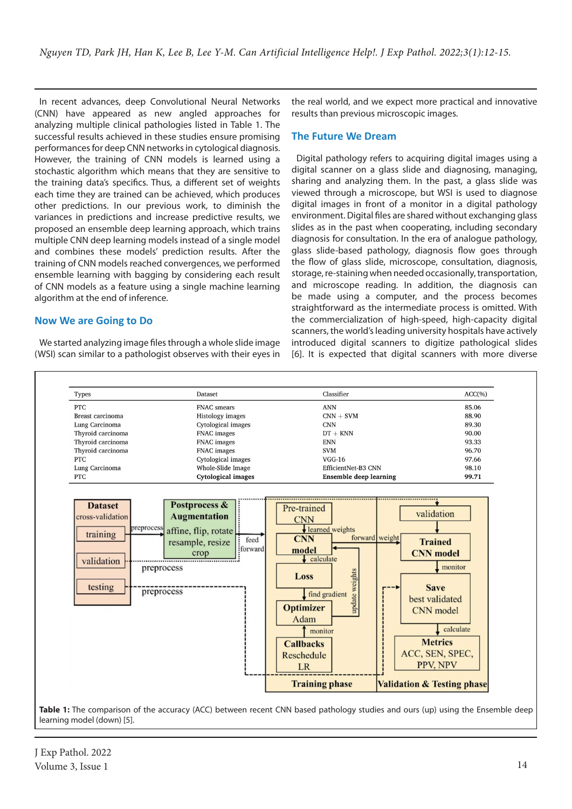In recent advances, deep Convolutional Neural Networks (CNN) have appeared as new angled approaches for analyzing multiple clinical pathologies listed in Table 1. The successful results achieved in these studies ensure promising performances for deep CNN networks in cytological diagnosis. However, the training of CNN models is learned using a stochastic algorithm which means that they are sensitive to the training data's specifics. Thus, a different set of weights each time they are trained can be achieved, which produces other predictions. In our previous work, to diminish the variances in predictions and increase predictive results, we proposed an ensemble deep learning approach, which trains multiple CNN deep learning models instead of a single model and combines these models' prediction results. After the training of CNN models reached convergences, we performed ensemble learning with bagging by considering each result of CNN models as a feature using a single machine learning algorithm at the end of inference.

## **Now We are Going to Do**

We started analyzing image files through a whole slide image (WSI) scan similar to a pathologist observes with their eyes in the real world, and we expect more practical and innovative results than previous microscopic images.

### **The Future We Dream**

Digital pathology refers to acquiring digital images using a digital scanner on a glass slide and diagnosing, managing, sharing and analyzing them. In the past, a glass slide was viewed through a microscope, but WSI is used to diagnose digital images in front of a monitor in a digital pathology environment. Digital files are shared without exchanging glass slides as in the past when cooperating, including secondary diagnosis for consultation. In the era of analogue pathology, glass slide-based pathology, diagnosis flow goes through the flow of glass slide, microscope, consultation, diagnosis, storage, re-staining when needed occasionally, transportation, and microscope reading. In addition, the diagnosis can be made using a computer, and the process becomes straightforward as the intermediate process is omitted. With the commercialization of high-speed, high-capacity digital scanners, the world's leading university hospitals have actively introduced digital scanners to digitize pathological slides [6]. It is expected that digital scanners with more diverse